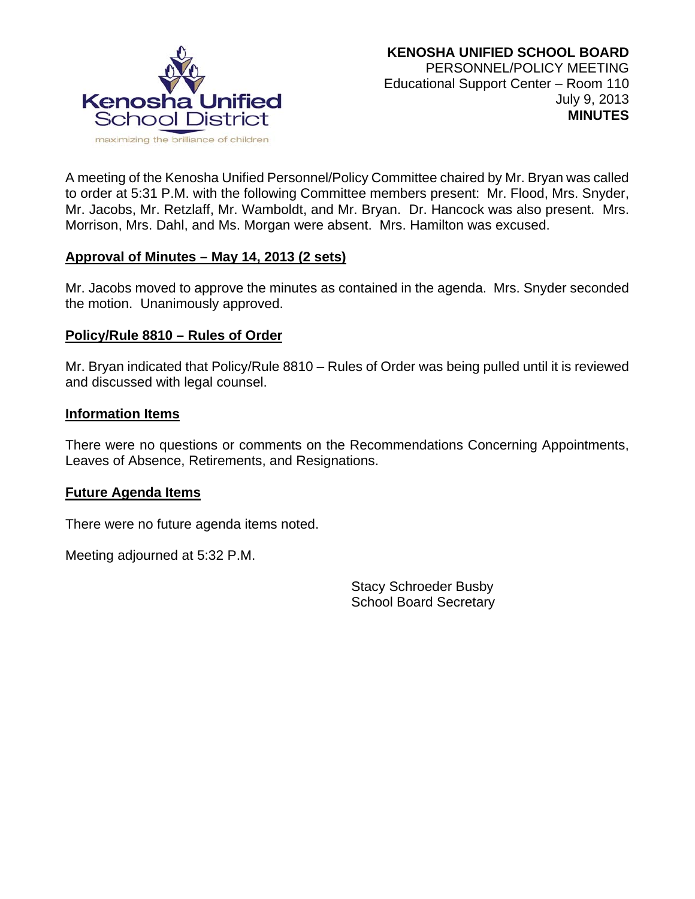

A meeting of the Kenosha Unified Personnel/Policy Committee chaired by Mr. Bryan was called to order at 5:31 P.M. with the following Committee members present: Mr. Flood, Mrs. Snyder, Mr. Jacobs, Mr. Retzlaff, Mr. Wamboldt, and Mr. Bryan. Dr. Hancock was also present. Mrs. Morrison, Mrs. Dahl, and Ms. Morgan were absent. Mrs. Hamilton was excused.

### **Approval of Minutes – May 14, 2013 (2 sets)**

Mr. Jacobs moved to approve the minutes as contained in the agenda. Mrs. Snyder seconded the motion. Unanimously approved.

### **Policy/Rule 8810 – Rules of Order**

Mr. Bryan indicated that Policy/Rule 8810 – Rules of Order was being pulled until it is reviewed and discussed with legal counsel.

### **Information Items**

There were no questions or comments on the Recommendations Concerning Appointments, Leaves of Absence, Retirements, and Resignations.

### **Future Agenda Items**

There were no future agenda items noted.

Meeting adjourned at 5:32 P.M.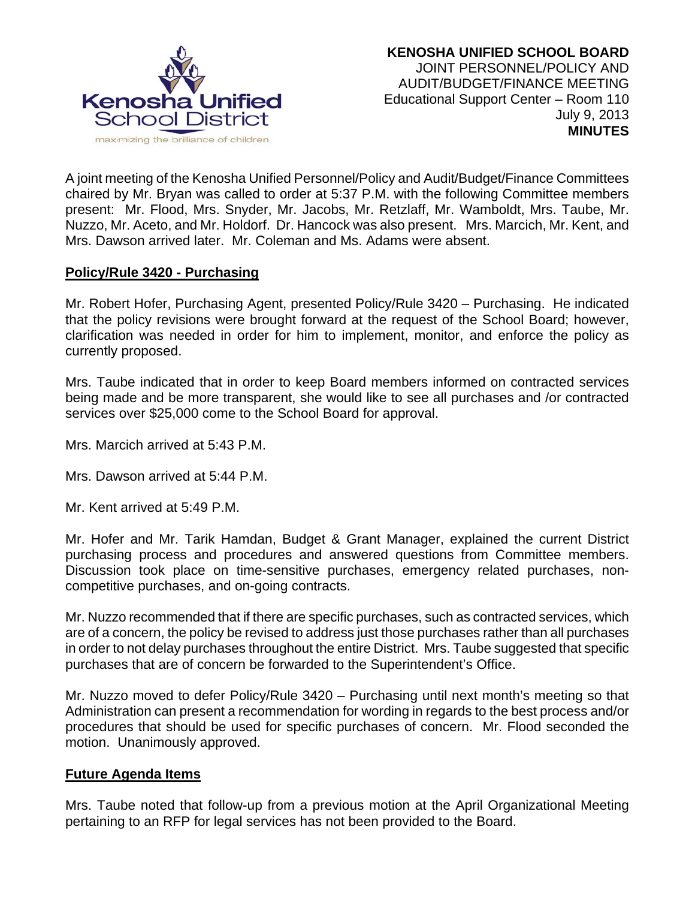

A joint meeting of the Kenosha Unified Personnel/Policy and Audit/Budget/Finance Committees chaired by Mr. Bryan was called to order at 5:37 P.M. with the following Committee members present: Mr. Flood, Mrs. Snyder, Mr. Jacobs, Mr. Retzlaff, Mr. Wamboldt, Mrs. Taube, Mr. Nuzzo, Mr. Aceto, and Mr. Holdorf. Dr. Hancock was also present. Mrs. Marcich, Mr. Kent, and Mrs. Dawson arrived later. Mr. Coleman and Ms. Adams were absent.

### **Policy/Rule 3420 - Purchasing**

Mr. Robert Hofer, Purchasing Agent, presented Policy/Rule 3420 – Purchasing. He indicated that the policy revisions were brought forward at the request of the School Board; however, clarification was needed in order for him to implement, monitor, and enforce the policy as currently proposed.

Mrs. Taube indicated that in order to keep Board members informed on contracted services being made and be more transparent, she would like to see all purchases and /or contracted services over \$25,000 come to the School Board for approval.

- Mrs. Marcich arrived at 5:43 P.M.
- Mrs. Dawson arrived at 5:44 P.M.
- Mr. Kent arrived at 5:49 P.M.

Mr. Hofer and Mr. Tarik Hamdan, Budget & Grant Manager, explained the current District purchasing process and procedures and answered questions from Committee members. Discussion took place on time-sensitive purchases, emergency related purchases, noncompetitive purchases, and on-going contracts.

Mr. Nuzzo recommended that if there are specific purchases, such as contracted services, which are of a concern, the policy be revised to address just those purchases rather than all purchases in order to not delay purchases throughout the entire District. Mrs. Taube suggested that specific purchases that are of concern be forwarded to the Superintendent's Office.

Mr. Nuzzo moved to defer Policy/Rule 3420 – Purchasing until next month's meeting so that Administration can present a recommendation for wording in regards to the best process and/or procedures that should be used for specific purchases of concern. Mr. Flood seconded the motion. Unanimously approved.

#### **Future Agenda Items**

Mrs. Taube noted that follow-up from a previous motion at the April Organizational Meeting pertaining to an RFP for legal services has not been provided to the Board.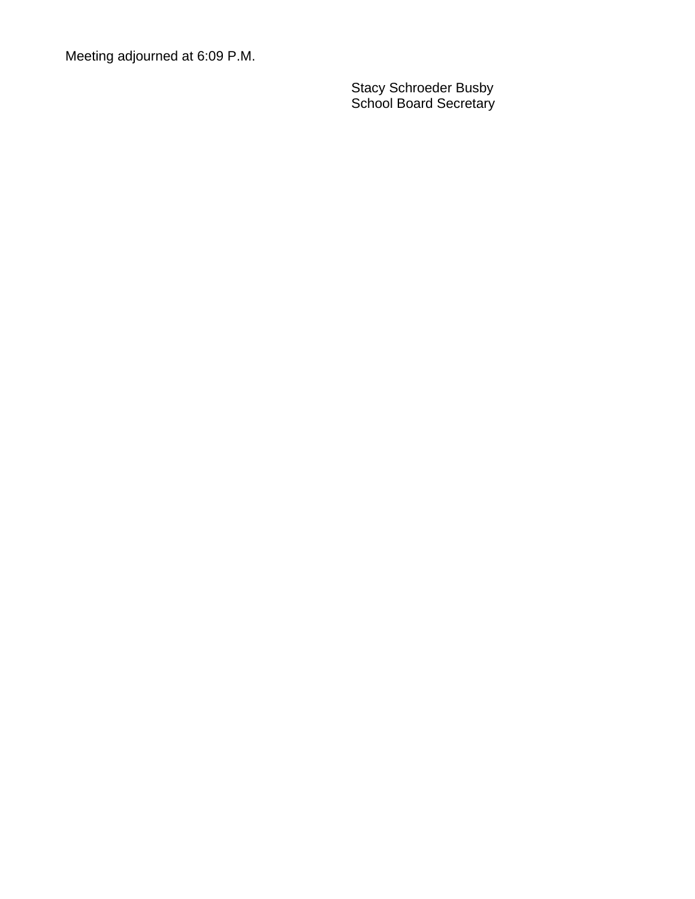Meeting adjourned at 6:09 P.M.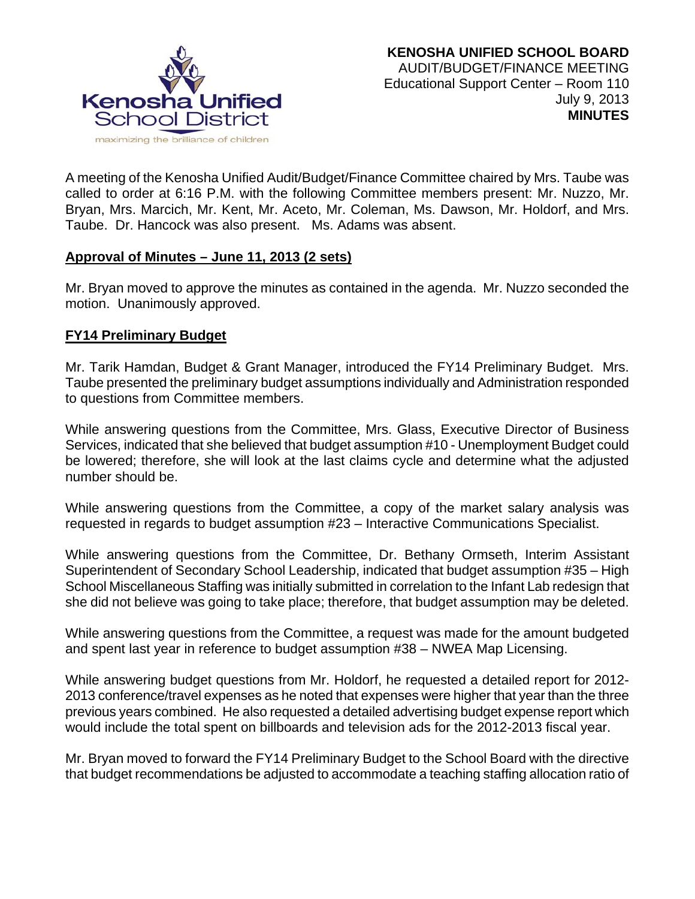

A meeting of the Kenosha Unified Audit/Budget/Finance Committee chaired by Mrs. Taube was called to order at 6:16 P.M. with the following Committee members present: Mr. Nuzzo, Mr. Bryan, Mrs. Marcich, Mr. Kent, Mr. Aceto, Mr. Coleman, Ms. Dawson, Mr. Holdorf, and Mrs. Taube. Dr. Hancock was also present. Ms. Adams was absent.

### **Approval of Minutes – June 11, 2013 (2 sets)**

Mr. Bryan moved to approve the minutes as contained in the agenda. Mr. Nuzzo seconded the motion. Unanimously approved.

## **FY14 Preliminary Budget**

Mr. Tarik Hamdan, Budget & Grant Manager, introduced the FY14 Preliminary Budget. Mrs. Taube presented the preliminary budget assumptions individually and Administration responded to questions from Committee members.

While answering questions from the Committee, Mrs. Glass, Executive Director of Business Services, indicated that she believed that budget assumption #10 - Unemployment Budget could be lowered; therefore, she will look at the last claims cycle and determine what the adjusted number should be.

While answering questions from the Committee, a copy of the market salary analysis was requested in regards to budget assumption #23 – Interactive Communications Specialist.

While answering questions from the Committee, Dr. Bethany Ormseth, Interim Assistant Superintendent of Secondary School Leadership, indicated that budget assumption #35 – High School Miscellaneous Staffing was initially submitted in correlation to the Infant Lab redesign that she did not believe was going to take place; therefore, that budget assumption may be deleted.

While answering questions from the Committee, a request was made for the amount budgeted and spent last year in reference to budget assumption #38 – NWEA Map Licensing.

While answering budget questions from Mr. Holdorf, he requested a detailed report for 2012- 2013 conference/travel expenses as he noted that expenses were higher that year than the three previous years combined. He also requested a detailed advertising budget expense report which would include the total spent on billboards and television ads for the 2012-2013 fiscal year.

Mr. Bryan moved to forward the FY14 Preliminary Budget to the School Board with the directive that budget recommendations be adjusted to accommodate a teaching staffing allocation ratio of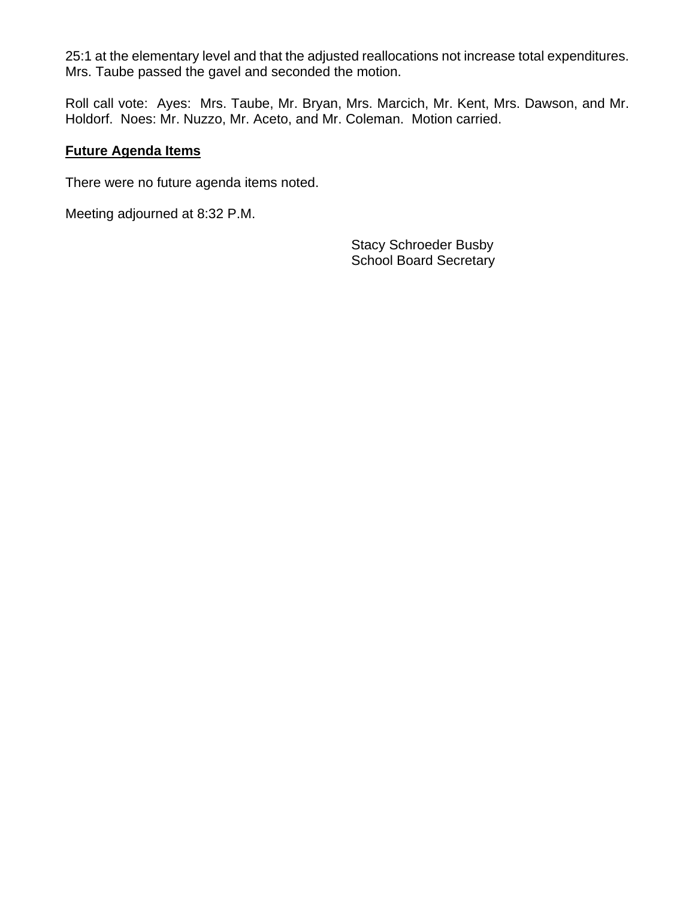25:1 at the elementary level and that the adjusted reallocations not increase total expenditures. Mrs. Taube passed the gavel and seconded the motion.

Roll call vote: Ayes: Mrs. Taube, Mr. Bryan, Mrs. Marcich, Mr. Kent, Mrs. Dawson, and Mr. Holdorf. Noes: Mr. Nuzzo, Mr. Aceto, and Mr. Coleman. Motion carried.

## **Future Agenda Items**

There were no future agenda items noted.

Meeting adjourned at 8:32 P.M.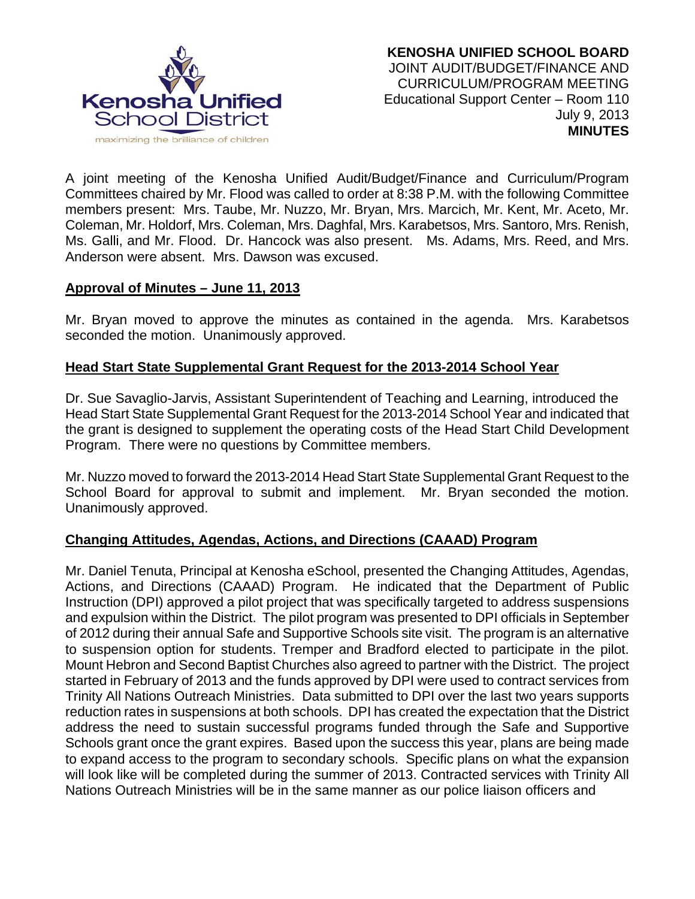

A joint meeting of the Kenosha Unified Audit/Budget/Finance and Curriculum/Program Committees chaired by Mr. Flood was called to order at 8:38 P.M. with the following Committee members present: Mrs. Taube, Mr. Nuzzo, Mr. Bryan, Mrs. Marcich, Mr. Kent, Mr. Aceto, Mr. Coleman, Mr. Holdorf, Mrs. Coleman, Mrs. Daghfal, Mrs. Karabetsos, Mrs. Santoro, Mrs. Renish, Ms. Galli, and Mr. Flood. Dr. Hancock was also present. Ms. Adams, Mrs. Reed, and Mrs. Anderson were absent. Mrs. Dawson was excused.

### **Approval of Minutes – June 11, 2013**

Mr. Bryan moved to approve the minutes as contained in the agenda. Mrs. Karabetsos seconded the motion. Unanimously approved.

## **Head Start State Supplemental Grant Request for the 2013-2014 School Year**

Dr. Sue Savaglio-Jarvis, Assistant Superintendent of Teaching and Learning, introduced the Head Start State Supplemental Grant Request for the 2013-2014 School Year and indicated that the grant is designed to supplement the operating costs of the Head Start Child Development Program. There were no questions by Committee members.

Mr. Nuzzo moved to forward the 2013-2014 Head Start State Supplemental Grant Request to the School Board for approval to submit and implement. Mr. Bryan seconded the motion. Unanimously approved.

### **Changing Attitudes, Agendas, Actions, and Directions (CAAAD) Program**

Mr. Daniel Tenuta, Principal at Kenosha eSchool, presented the Changing Attitudes, Agendas, Actions, and Directions (CAAAD) Program. He indicated that the Department of Public Instruction (DPI) approved a pilot project that was specifically targeted to address suspensions and expulsion within the District. The pilot program was presented to DPI officials in September of 2012 during their annual Safe and Supportive Schools site visit. The program is an alternative to suspension option for students. Tremper and Bradford elected to participate in the pilot. Mount Hebron and Second Baptist Churches also agreed to partner with the District. The project started in February of 2013 and the funds approved by DPI were used to contract services from Trinity All Nations Outreach Ministries. Data submitted to DPI over the last two years supports reduction rates in suspensions at both schools. DPI has created the expectation that the District address the need to sustain successful programs funded through the Safe and Supportive Schools grant once the grant expires. Based upon the success this year, plans are being made to expand access to the program to secondary schools. Specific plans on what the expansion will look like will be completed during the summer of 2013. Contracted services with Trinity All Nations Outreach Ministries will be in the same manner as our police liaison officers and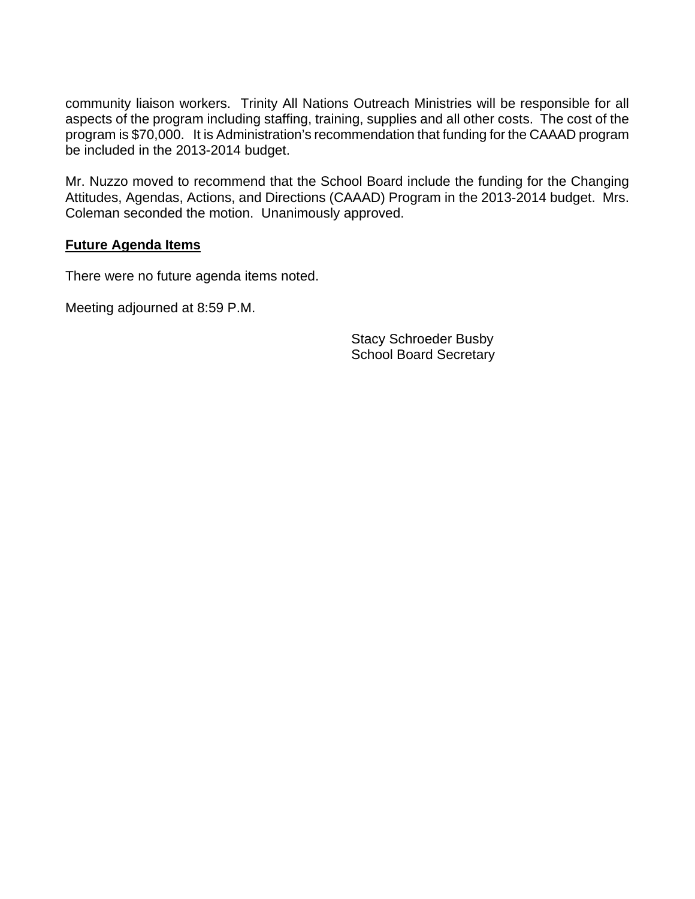community liaison workers. Trinity All Nations Outreach Ministries will be responsible for all aspects of the program including staffing, training, supplies and all other costs. The cost of the program is \$70,000. It is Administration's recommendation that funding for the CAAAD program be included in the 2013-2014 budget.

Mr. Nuzzo moved to recommend that the School Board include the funding for the Changing Attitudes, Agendas, Actions, and Directions (CAAAD) Program in the 2013-2014 budget. Mrs. Coleman seconded the motion. Unanimously approved.

#### **Future Agenda Items**

There were no future agenda items noted.

Meeting adjourned at 8:59 P.M.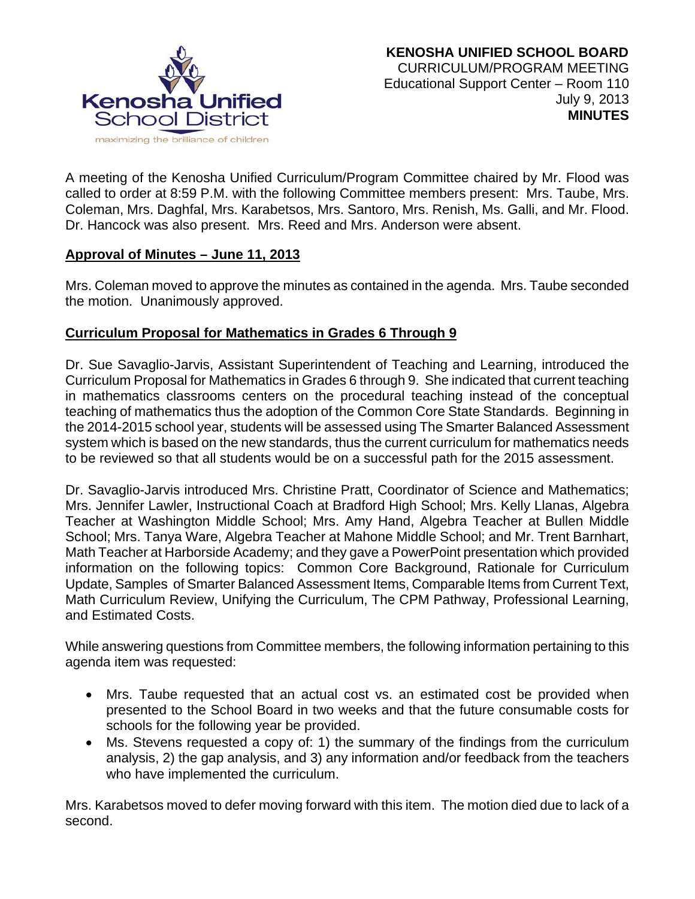

A meeting of the Kenosha Unified Curriculum/Program Committee chaired by Mr. Flood was called to order at 8:59 P.M. with the following Committee members present: Mrs. Taube, Mrs. Coleman, Mrs. Daghfal, Mrs. Karabetsos, Mrs. Santoro, Mrs. Renish, Ms. Galli, and Mr. Flood. Dr. Hancock was also present. Mrs. Reed and Mrs. Anderson were absent.

### **Approval of Minutes – June 11, 2013**

Mrs. Coleman moved to approve the minutes as contained in the agenda. Mrs. Taube seconded the motion. Unanimously approved.

# **Curriculum Proposal for Mathematics in Grades 6 Through 9**

Dr. Sue Savaglio-Jarvis, Assistant Superintendent of Teaching and Learning, introduced the Curriculum Proposal for Mathematics in Grades 6 through 9. She indicated that current teaching in mathematics classrooms centers on the procedural teaching instead of the conceptual teaching of mathematics thus the adoption of the Common Core State Standards. Beginning in the 2014-2015 school year, students will be assessed using The Smarter Balanced Assessment system which is based on the new standards, thus the current curriculum for mathematics needs to be reviewed so that all students would be on a successful path for the 2015 assessment.

Dr. Savaglio-Jarvis introduced Mrs. Christine Pratt, Coordinator of Science and Mathematics; Mrs. Jennifer Lawler, Instructional Coach at Bradford High School; Mrs. Kelly Llanas, Algebra Teacher at Washington Middle School; Mrs. Amy Hand, Algebra Teacher at Bullen Middle School; Mrs. Tanya Ware, Algebra Teacher at Mahone Middle School; and Mr. Trent Barnhart, Math Teacher at Harborside Academy; and they gave a PowerPoint presentation which provided information on the following topics: Common Core Background, Rationale for Curriculum Update, Samples of Smarter Balanced Assessment Items, Comparable Items from Current Text, Math Curriculum Review, Unifying the Curriculum, The CPM Pathway, Professional Learning, and Estimated Costs.

While answering questions from Committee members, the following information pertaining to this agenda item was requested:

- Mrs. Taube requested that an actual cost vs. an estimated cost be provided when presented to the School Board in two weeks and that the future consumable costs for schools for the following year be provided.
- Ms. Stevens requested a copy of: 1) the summary of the findings from the curriculum analysis, 2) the gap analysis, and 3) any information and/or feedback from the teachers who have implemented the curriculum.

Mrs. Karabetsos moved to defer moving forward with this item. The motion died due to lack of a second.